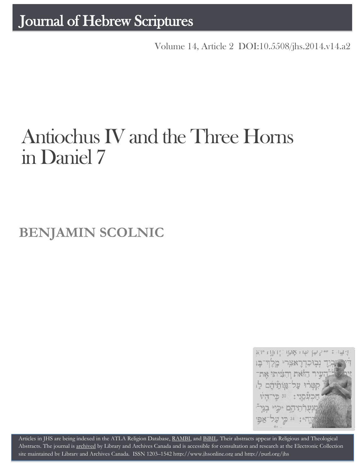Volume 14, Article 2 DOI:10.5508/jhs.2014.v14.a2

# Antiochus IV and the Three Horns in Daniel 7

**BENJAMIN SCOLNIC**



Articles in JHS are being indexed in the ATLA Religion Database, [RAMBI,](http://jnul.huji.ac.il/rambi/) an[d BiBIL.](http://bibil.net/) Their abstracts appear in Religious and Theological Abstracts. The journal is [archived](http://epe.lac-bac.gc.ca/100/201/300/journal_hebrew/index.html) by Library and Archives Canada and is accessible for consultation and research at the Electronic Collection site maintained b[y Library and Archives Canada.](http://collectionscanada.ca/electroniccollection/003008-200-e.html) ISSN 1203–154[2 http://www.jhsonline.org](http://www.jhsonline.org/) and<http://purl.org/jhs>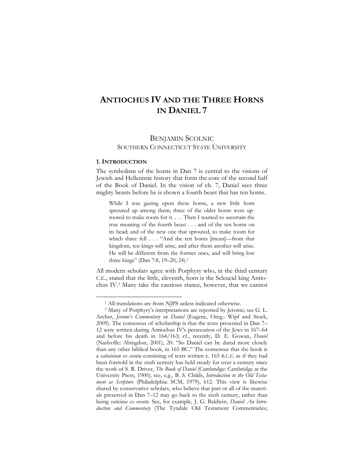## **ANTIOCHUS IV AND THE THREE HORNS IN DANIEL 7**

### BENJAMIN SCOLNIC SOUTHERN CONNECTICUT STATE UNIVERSITY

#### **1. INTRODUCTION**

 $\overline{a}$ 

The symbolism of the horns in Dan 7 is central to the visions of Jewish and Hellenistic history that form the core of the second half of the Book of Daniel. In the vision of ch. 7, Daniel sees three mighty beasts before he is shown a fourth beast that has ten horns.

While I was gazing upon these horns, a new little horn sprouted up among them; three of the older horns were uprooted to make room for it. . . . Then I wanted to ascertain the true meaning of the fourth beast . . . and of the ten horns on its head; and of the new one that sprouted, to make room for which three fell . . . "And the ten horns [mean]—from that kingdom, ten kings will arise, and after them another will arise. He will be different from the former ones, and will bring low three kings" (Dan 7:8, 19–20, 24). 1

All modern scholars agree with Porphyry who, in the third century C.E., stated that the little, eleventh, horn is the Seleucid king Antiochus IV.<sup>2</sup> Many take the cautious stance, however, that we cannot

<sup>&</sup>lt;sup>1</sup> All translations are from NJPS unless indicated otherwise.

<sup>2</sup> Many of Porphyry's interpretations are reported by Jerome; see G. L. Archer, *Jerome's Commentary on Daniel* (Eugene, Oreg.: Wipf and Stock, 2009). The consensus of scholarship is that the texts presented in Dan 7– 12 were written during Antiochus IV's persecution of the Jews in 167–64 and before his death in 164/163; cf., recently, D. E. Gowan, *Daniel* (Nashville: Abingdon, 2001), 20: "So Daniel can be dated more closely than any other biblical book, in 165 BC." The consensus that the book is a *vaticinium ex eventu* consisting of texts written c. 165 B.C.E. as if they had been foretold in the sixth century has held steady for over a century since the work of S. R. Driver, *The Book of Daniel* (Cambridge: Cambridge at the University Press, 1900); see, e.g., B. S. Childs, *Introduction to the Old Testament as Scripture* (Philadelphia: SCM, 1979), 612. This view is likewise shared by conservative scholars, who believe that part or all of the materials preserved in Dan 7–12 may go back to the sixth century, rather than being *vaticinia ex eventu*. See, for example, J. G. Baldwin, *Daniel: An Introduction and Commentary* (The Tyndale Old Testament Commentaries;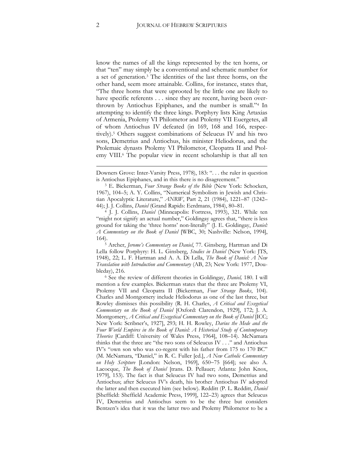know the names of all the kings represented by the ten horns, or that "ten" may simply be a conventional and schematic number for a set of generation. <sup>3</sup> The identities of the last three horns, on the other hand, seem more attainable. Collins, for instance, states that, "The three horns that were uprooted by the little one are likely to have specific referents  $\dots$  since they are recent, having been overthrown by Antiochus Epiphanes, and the number is small."<sup>4</sup> In attempting to identify the three kings. Porphyry lists King Artaxias of Armenia, Ptolemy VI Philometor and Ptolemy VII Euergetes, all of whom Antiochus IV defeated (in 169, 168 and 166, respectively).<sup>5</sup> Others suggest combinations of Seleucus IV and his two sons, Demetrius and Antiochus, his minister Heliodorus, and the Ptolemaic dynasts Ptolemy VI Philometor, Cleopatra II and Ptolemy VIII.<sup>6</sup> The popular view in recent scholarship is that all ten

<u>.</u>

Downers Grove: Inter-Varsity Press, 1978), 183: ". . . the ruler in question is Antiochus Epiphanes, and in this there is no disagreement."

<sup>3</sup> E. Bickerman, *Four Strange Books of the Bible* (New York: Schocken, 1967), 104–5; A. Y. Collins, "Numerical Symbolism in Jewish and Christian Apocalyptic Literature," *ANRW*, Part 2, 21 (1984), 1221–87 (1242– 44); J. J. Collins, *Daniel* (Grand Rapids: Eerdmans, 1984), 80–81.

<sup>4</sup> J. J. Collins, *Daniel* (Minneapolis: Fortress, 1993), 321. While ten "might not signify an actual number," Goldingay agrees that, "there is less ground for taking the 'three horns' non-literally" (J. E. Goldingay, *Daniel: A Commentary on the Book of Daniel* [WBC, 30; Nashville: Nelson, 1994], 164).

<sup>5</sup> Archer, *Jerome's Commentary on Daniel*, 77. Ginsberg, Hartman and Di Lella follow Porphyry: H. L. Ginsberg, *Studies in Daniel* (New York: JTS, 1948), 22; L. F. Hartman and A. A. Di Lella, *The Book of Daniel: A New Translation with Introduction and Commentary* (AB, 23; New York: 1977, Doubleday), 216.

<sup>6</sup> See the review of different theories in Goldingay, *Daniel,* 180. I will mention a few examples. Bickerman states that the three are Ptolemy VI, Ptolemy VII and Cleopatra II (Bickerman, *Four Strange Books*, 104). Charles and Montgomery include Heliodorus as one of the last three, but Rowley dismisses this possibility (R. H. Charles, *A Critical and Exegetical Commentary on the Book of Daniel* [Oxford: Clarendon, 1929], 172; J. A. Montgomery, *A Critical and Exegetical Commentary on the Book of Daniel* [ICC; New York: Scribner's, 1927], 293; H. H. Rowley, *Darius the Mede and the Four World Empires in the Book of Daniel: A Historical Study of Contemporary Theories* [Cardiff: University of Wales Press, 1964], 108–14). McNamara thinks that the three are "the two sons of Seleucus IV . . ." and Antiochus IV's "own son who was co-regent with his father from 175 to 170 BC" (M. McNamara, "Daniel," in R. C. Fuller [ed.], *A New Catholic Commentary*  on Holy Scripture [London: Nelson, 1969], 650-75 [664]; see also A. Lacocque, *The Book of Daniel* [trans. D. Pellauer; Atlanta: John Knox, 1979], 153). The fact is that Seleucus IV had two sons, Demetrius and Antiochus; after Seleucus IV's death, his brother Antiochus IV adopted the latter and then executed him (see below). Redditt (P. L. Redditt, *Daniel* [Sheffield: Sheffield Academic Press, 1999], 122–23) agrees that Seleucus IV, Demetrius and Antiochus seem to be the three but considers Bentzen's idea that it was the latter two and Ptolemy Philometor to be a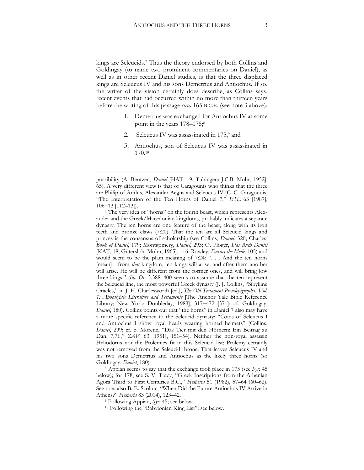kings are Seleucids.<sup>7</sup> Thus the theory endorsed by both Collins and Goldingay (to name two prominent commentaries on Daniel), as well as in other recent Daniel studies, is that the three displaced kings are Seleucus IV and his sons Demetrius and Antiochus. If so, the writer of the vision certainly does describe, as Collins says, recent events that had occurred within no more than thirteen years before the writing of this passage *circa* 165 B.C.E. (see note 3 above):

- 1. Demetrius was exchanged for Antiochus IV at some point in the years  $178-175$ ;<sup>8</sup>
- 2. Seleucus IV was assassinated in 175,<sup>9</sup> and
- 3. Antiochus, son of Seleucus IV was assassinated in 170.<sup>10</sup>

1

<sup>7</sup> The very idea of "horns" on the fourth beast, which represents Alexander and the Greek/Macedonian kingdoms, probably indicates a separate dynasty. The ten horns are one feature of the beast, along with its iron teeth and bronze claws (7:20). That the ten are all Seleucid kings and princes is the consensus of scholarship (see Collins, *Daniel*, 320; Charles, *Book of Daniel*, 179; Montgomery, *Daniel*, 293; O. Plöger, *Das Buch Daniel*  [KAT, 18; Gütersloh: Mohn, 1965], 116; Rowley, *Darius the Mede,* 105) and would seem to be the plain meaning of 7:24: ". . . And the ten horns [mean]—from *that* kingdom, ten kings will arise, and after them another will arise. He will be different from the former ones, and will bring low three kings." *Sib. Or.* 3.388–400 seems to assume that the ten represent the Seleucid line, the most powerful Greek dynasty (J. J. Collins, "Sibylline Oracles," in J. H. Charlesworth [ed.], *The Old Testament Pseudepigrapha. Vol. 1: Apocalyptic Literature and Testaments* [The Anchor Yale Bible Reference Library; New York: Doubleday, 1983], 317-472 [371]; cf. Goldingay, *Daniel*, 180). Collins points out that "the horns" in Daniel 7 also may have a more specific reference to the Seleucid dynasty: "Coins of Seleucus I and Antiochus I show royal heads wearing horned helmets" (Collins, *Daniel*, 299; cf. S. Morenz, "Das Tier mit den Hörnern: Ein Beitrag zu Dan. 7,7f.," *ZAW* 63 [1951], 151–54). Neither the non-royal assassin Heliodorus nor the Ptolemies fit in this Seleucid list; Ptolemy certainly was not removed from the Seleucid throne. That leaves Seleucus IV and his two sons Demetrius and Antiochus as the likely three horns (so Goldingay, *Daniel*, 180).

<sup>8</sup> Appian seems to say that the exchange took place in 175 (see *Syr.* 45 below); for 178, see S. V. Tracy, "Greek Inscriptions from the Athenian Agora Third to First Centuries B.C.," *Hesperia* 51 (1982), 57–64 (60–62). See now also B. E. Scolnic, "When Did the Future Antiochos IV Arrive in Athens?" *Hesperia* 83 (2014), 123–42.

<sup>9</sup> Following Appian, *Syr.* 45; see below.

<sup>10</sup> Following the "Babylonian King List"; see below.

possibility (A. Bentzen, *Daniel* [HAT, 19; Tubingen: J.C.B. Mohr, 1952], 65). A very different view is that of Caragounis who thinks that the three are Philip of Aridus, Alexander Aegus and Seleucus IV (C. C. Caragounis, "The Interpretation of the Ten Horns of Daniel 7," *ETL* 63 [1987], 10613 [112–13]).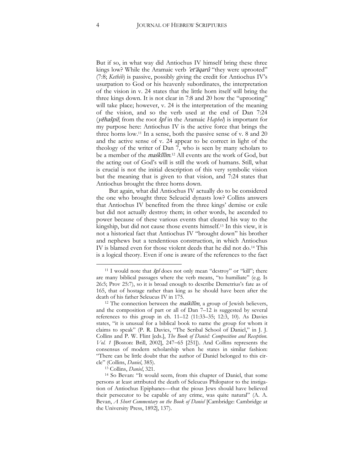But if so, in what way did Antiochus IV himself bring these three kings low? While the Aramaic verb 'et'aqarû "they were uprooted" (7:8; *Kethib*) is passive, possibly giving the credit for Antiochus IV's usurpation to God or his heavenly subordinates, the interpretation of the vision in v. 24 states that the little horn itself will bring the three kings down. It is not clear in 7:8 and 20 how the "uprooting" will take place; however, v. 24 is the interpretation of the meaning of the vision, and so the verb used at the end of Dan 7:24 (yĕhašpil; from the root špl in the Aramaic *Haphel*) is important for my purpose here: Antiochus IV is the active force that brings the three horns low.<sup>11</sup> In a sense, both the passive sense of v. 8 and 20 and the active sense of v. 24 appear to be correct in light of the theology of the writer of Dan 7, who is seen by many scholars to be a member of the *maśkîlîm*.<sup>12</sup> All events are the work of God, but the acting out of God's will is still the work of humans. Still, what is crucial is not the initial description of this very symbolic vision but the meaning that is given to that vision, and 7:24 states that Antiochus brought the three horns down.

But again, what did Antiochus IV actually do to be considered the one who brought three Seleucid dynasts low? Collins answers that Antiochus IV benefited from the three kings' demise or exile but did not actually destroy them; in other words, he ascended to power because of these various events that cleared his way to the kingship, but did not cause those events himself. <sup>13</sup> In this view, it is not a historical fact that Antiochus IV "brought down" his brother and nephews but a tendentious construction, in which Antiochus IV is blamed even for those violent deeds that he did not do.<sup>14</sup> This is a logical theory. Even if one is aware of the references to the fact

<sup>&</sup>lt;sup>11</sup> I would note that  $\dot{s}pl$  does not only mean "destroy" or "kill"; there are many biblical passages where the verb means, "to humiliate" (e.g. Is 26:5; Prov 25:7), so it is broad enough to describe Demetrius's fate as of 165, that of hostage rather than king as he should have been after the death of his father Seleucus IV in 175.

<sup>&</sup>lt;sup>12</sup> The connection between the *maśkîlîm*, a group of Jewish believers, and the composition of part or all of Dan 7–12 is suggested by several references to this group in ch. 11–12 (11:33–35; 12:3, 10). As Davies states, "it is unusual for a biblical book to name the group for whom it claims to speak" (P. R. Davies, "The Scribal School of Daniel," in J. J. Collins and P. W. Flint [eds.], *The Book of Daniel: Composition and Reception. Vol. 1* [Boston: Brill, 2002], 247–65 [251]). And Collins represents the consensus of modern scholarship when he states in similar fashion: "There can be little doubt that the author of Daniel belonged to this circle" (Collins, *Daniel*, 385).

<sup>13</sup> Collins, *Daniel*, 321.

<sup>14</sup> So Bevan: "It would seem, from this chapter of Daniel, that some persons at least attributed the death of Seleucus Philopator to the instigation of Antiochus Epiphanes—that the pious Jews should have believed their persecutor to be capable of any crime, was quite natural" (A. A. Bevan, *A Short Commentary on the Book of Daniel* [Cambridge: Cambridge at the University Press, 1892], 137).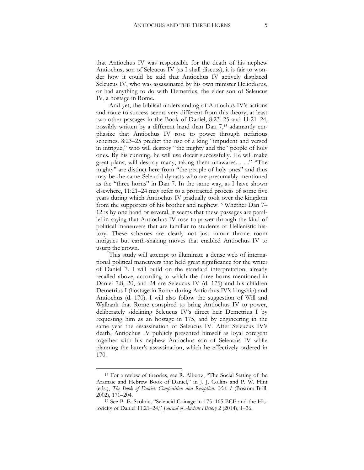that Antiochus IV was responsible for the death of his nephew Antiochus, son of Seleucus IV (as I shall discuss), it is fair to wonder how it could be said that Antiochus IV actively displaced Seleucus IV, who was assassinated by his own minister Heliodorus, or had anything to do with Demetrius, the elder son of Seleucus IV, a hostage in Rome.

And yet, the biblical understanding of Antiochus IV's actions and route to success seems very different from this theory; at least two other passages in the Book of Daniel, 8:23–25 and 11:21–24, possibly written by a different hand than Dan 7, <sup>15</sup> adamantly emphasize that Antiochus IV rose to power through nefarious schemes. 8:23–25 predict the rise of a king "impudent and versed in intrigue," who will destroy "the mighty and the "people of holy ones. By his cunning, he will use deceit successfully. He will make great plans, will destroy many, taking them unawares. . . ." "The mighty" are distinct here from "the people of holy ones" and thus may be the same Seleucid dynasts who are presumably mentioned as the "three horns" in Dan 7. In the same way, as I have shown elsewhere, 11:21–24 may refer to a protracted process of some five years during which Antiochus IV gradually took over the kingdom from the supporters of his brother and nephew.<sup>16</sup> Whether Dan 7– 12 is by one hand or several, it seems that these passages are parallel in saying that Antiochus IV rose to power through the kind of political maneuvers that are familiar to students of Hellenistic history. These schemes are clearly not just minor throne room intrigues but earth-shaking moves that enabled Antiochus IV to usurp the crown.

This study will attempt to illuminate a dense web of international political maneuvers that held great significance for the writer of Daniel 7. I will build on the standard interpretation, already recalled above, according to which the three horns mentioned in Daniel 7:8, 20, and 24 are Seleucus IV (d. 175) and his children Demetrius I (hostage in Rome during Antiochus IV's kingship) and Antiochus (d. 170). I will also follow the suggestion of Will and Walbank that Rome conspired to bring Antiochus IV to power, deliberately sidelining Seleucus IV's direct heir Demetrius I by requesting him as an hostage in 175, and by engineering in the same year the assassination of Seleucus IV. After Seleucus IV's death, Antiochus IV publicly presented himself as loyal coregent together with his nephew Antiochus son of Seleucus IV while planning the latter's assassination, which he effectively ordered in 170.

<sup>15</sup> For a review of theories, see R. Albertz, "The Social Setting of the Aramaic and Hebrew Book of Daniel," in J. J. Collins and P. W. Flint (eds.), *The Book of Daniel: Composition and Reception. Vol. 1* (Boston: Brill, 2002), 171–204.

<sup>16</sup> See B. E. Scolnic, "Seleucid Coinage in 175–165 BCE and the Historicity of Daniel 11:21–24," *Journal of Ancient History* 2 (2014), 1–36.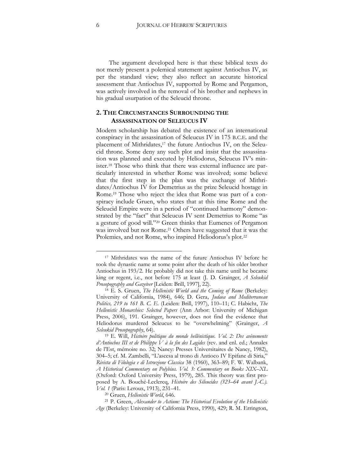The argument developed here is that these biblical texts do not merely present a polemical statement against Antiochus IV, as per the standard view; they also reflect an accurate historical assessment that Antiochus IV, supported by Rome and Pergamon, was actively involved in the removal of his brother and nephews in his gradual usurpation of the Seleucid throne.

#### **2. THE CIRCUMSTANCES SURROUNDING THE ASSASSINATION OF SELEUCUS IV**

Modern scholarship has debated the existence of an international conspiracy in the assassination of Seleucus IV in 175 B.C.E. and the placement of Mithridates,<sup>17</sup> the future Antiochus IV, on the Seleucid throne. Some deny any such plot and insist that the assassination was planned and executed by Heliodorus, Seleucus IV's minister.<sup>18</sup> Those who think that there was external influence are particularly interested in whether Rome was involved; some believe that the first step in the plan was the exchange of Mithridates/Antiochus IV for Demetrius as the prize Seleucid hostage in Rome.<sup>19</sup> Those who reject the idea that Rome was part of a conspiracy include Gruen, who states that at this time Rome and the Seleucid Empire were in a period of "continued harmony" demonstrated by the "fact" that Seleucus IV sent Demetrius to Rome "as a gesture of good will."<sup>20</sup> Green thinks that Eumenes of Pergamon was involved but not Rome.<sup>21</sup> Others have suggested that it was the Ptolemies, and not Rome, who inspired Heliodorus's plot.<sup>22</sup>

<sup>17</sup> Mithridates was the name of the future Antiochus IV before he took the dynastic name at some point after the death of his older brother Antiochus in 193/2. He probably did not take this name until he became king or regent, i.e., not before 175 at least (J. D. Grainger, *A Seleukid Prosopography and Gazeteer* [Leiden: Brill, 1997], 22).

<sup>18</sup> E. S. Gruen, *The Hellenistic World and the Coming of Rome* (Berkeley: University of California, 1984), 646; [D. Gera](http://www.flipkart.com/author/dov-gera/), *Judaea and Mediterranean Politics, 219 to 161 B. C. E.* (Leiden: Brill, 1997), 110–11; C. Habicht, *The Hellenistic Monarchies: Selected Papers* (Ann Arbor: University of Michigan Press, 2006), 191. Grainger, however, does not find the evidence that Heliodorus murdered Seleucus to be "overwhelming" (Grainger, *A Seleukid Prosopography*, 64).

<sup>19</sup> E. Will, *Histoire politique du monde hellénistique. Vol. 2: Des avènements d'Antiochos III et de Philippe V à la fin des Lagides* (rev. and enl. ed.; Annales de l'Est, mémoire no. 32; Nancy: Presses Universitaires de Nancy, 1982), 304–5; cf. M. Zambelli, "L'ascesa al trono di Antioco IV Epifane di Siria," *Rivista di Filologia e di Istruzione Classica* 38 (1960), 363–89; F. W. Walbank, *A Historical Commentary on Polybius. Vol. 3: Commentary on Books XIX–XL*  (Oxford: Oxford University Press, 1979), 285. This theory was first proposed by A. Bouché-Leclercq, *Histoire des Séleucides (323–64 avant J.-C.). Vol. 1* (Paris: Leroux, 1913), 231–41.

<sup>20</sup> Gruen, *Hellenistic World*, 646.

<sup>21</sup> P. Green, *Alexander to Actium: The Historical Evolution of the Hellenistic Age* (Berkeley: University of California Press, 1990), 429; R. M. Errington,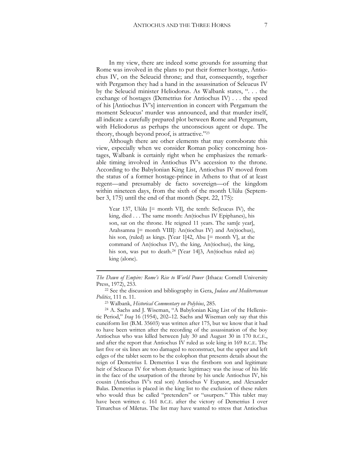In my view, there are indeed some grounds for assuming that Rome was involved in the plans to put their former hostage, Antiochus IV, on the Seleucid throne; and that, consequently, together with Pergamon they had a hand in the assassination of Seleucus IV by the Seleucid minister Heliodorus. As Walbank states, ". . . the exchange of hostages (Demetrius for Antiochus IV) . . . the speed of his [Antiochus IV's] intervention in concert with Pergamum the moment Seleucus' murder was announced, and that murder itself, all indicate a carefully prepared plot between Rome and Pergamum, with Heliodorus as perhaps the unconscious agent or dupe. The theory, though beyond proof, is attractive."<sup>23</sup>

Although there are other elements that may corroborate this view, especially when we consider Roman policy concerning hostages, Walbank is certainly right when he emphasizes the remarkable timing involved in Antiochus IV's accession to the throne. According to the Babylonian King List, Antiochus IV moved from the status of a former hostage-prince in Athens to that of at least regent—and presumably de facto sovereign—of the kingdom within nineteen days, from the sixth of the month Ulûlu (September 3, 175) until the end of that month (Sept. 22, 175):

Year 137, Ulûlu [= month VI], the tenth: Se(leucus IV), the king, died . . . The same month: An(tiochus IV Epiphanes), his son, sat on the throne. He reigned 11 years. The sam[e year], [Arahsamna](http://www.livius.org/caa-can/calendar/calendar_babylonian.html#Arahsamna) [= month VIII]: [An\(tiochus IV\)](http://www.livius.org/am-ao/antiochus/antiochus_iv_epiphanes.html) and An(tiochus), his son, (ruled) as kings. [Year 1]42, [Abu](http://www.livius.org/caa-can/calendar/calendar_babylonian.html#Abu) [= month V], at the command of An(tiochus IV), the king, An(tiochus), the king, his son, was put to death.<sup>24</sup> [Year 14]3, An(tiochus ruled as) king (alone).

1

*The Dawn of Empire: Rome's Rise to World Power* (Ithaca: Cornell University Press, 1972), 253.

<sup>22</sup> See the discussion and bibliography in Gera, *Judaea and Mediterranean Politics*, 111 n. 11.

<sup>23</sup> Walbank, *Historical Commentary on Polybius*, 285.

<sup>24</sup> A. Sachs and J. Wiseman, "A Babylonian King List of the Hellenistic Period," *Iraq* 16 (1954), 202–12. Sachs and Wiseman only say that this cuneiform list (B.M. 35603) was written after 175, but we know that it had to have been written after the recording of the assassination of the boy Antiochus who was killed between July 30 and August 30 in 170 B.C.E., and after the report that Antiochus IV ruled as sole king in 169 B.C.E. The last five or six lines are too damaged to reconstruct, but the upper and left edges of the tablet seem to be the colophon that presents details about the reign of Demetrius I. Demetrius I was the firstborn son and legitimate heir of Seleucus IV for whom dynastic legitimacy was the issue of his life in the face of the usurpation of the throne by his uncle Antiochus IV, his cousin (Antiochus IV's real son) Antiochus V Eupator, and Alexander Balas. Demetrius is placed in the king list to the exclusion of these rulers who would thus be called "pretenders" or "usurpers." This tablet may have been written c. 161 B.C.E. after the victory of Demetrius I over Timarchus of Miletus. The list may have wanted to stress that Antiochus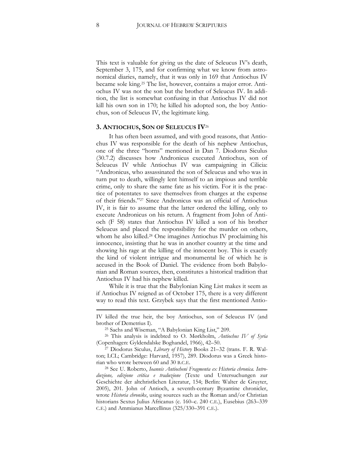This text is valuable for giving us the date of Seleucus IV's death, September 3, 175, and for confirming what we know from astronomical diaries, namely, that it was only in 169 that Antiochus IV became sole king.<sup>25</sup> The list, however, contains a major error. Antiochus IV was not the son but the brother of Seleucus IV. In addition, the list is somewhat confusing in that Antiochus IV did not kill his own son in 170; he killed his adopted son, the boy Antiochus, son of Seleucus IV, the legitimate king.

#### **3. ANTIOCHUS, SON OF SELEUCUS IV**<sup>26</sup>

It has often been assumed, and with good reasons, that Antiochus IV was responsible for the death of his nephew Antiochus, one of the three "horns" mentioned in Dan 7. Diodorus Siculus (30.7.2) discusses how Andronicus executed Antiochus, son of Seleucus IV while Antiochus IV was campaigning in Cilicia: "Andronicus, who assassinated the son of Seleucus and who was in turn put to death, willingly lent himself to an impious and terrible crime, only to share the same fate as his victim. For it is the practice of potentates to save themselves from charges at the expense of their friends."<sup>27</sup> Since Andronicus was an official of Antiochus IV, it is fair to assume that the latter ordered the killing, only to execute Andronicus on his return. A fragment from John of Antioch (F 58) states that Antiochus IV killed a son of his brother Seleucus and placed the responsibility for the murder on others, whom he also killed.<sup>28</sup> One imagines Antiochus IV proclaiming his innocence, insisting that he was in another country at the time and showing his rage at the killing of the innocent boy. This is exactly the kind of violent intrigue and monumental lie of which he is accused in the Book of Daniel. The evidence from both Babylonian and Roman sources, then, constitutes a historical tradition that Antiochus IV had his nephew killed.

While it is true that the Babylonian King List makes it seem as if Antiochus IV reigned as of October 175, there is a very different way to read this text. Grzybek says that the first mentioned Antio-

<sup>28</sup> See U. Roberto, *Ioannis Antiocheni Fragmenta ex Historia chronica. Introduzione, edizione critica e traduzione* (Texte und Untersuchungen zur Geschichte der altchristlichen Literatur, 154; Berlin: Walter de Gruyter, 2005), 201. John of Antioch, a seventh-century Byzantine chronicler, wrote *Historia chronike*, using sources such as the Roman and/or Christian historians Sextus Julius Africanus (c. 160-c. 240 C.E.), Eusebius (263-339 C.E.) and Ammianus Marcellinus (325/330–391 C.E.).

1

IV killed the true heir, the boy Antiochus, son of Seleucus IV (and brother of Demetrius I).

<sup>25</sup> Sachs and Wiseman, "A Babylonian King List," 209.

<sup>26</sup> This analysis is indebted to O. Mørkholm, *Antiochus IV of Syria* (Copenhagen: Gyldendalske Boghandel, 1966), 42–50.

<sup>27</sup> Diodorus Siculus, *Library of History* Books 21–32 (trans. F. R. Walton; LCL; Cambridge: Harvard, 1957), 289. Diodorus was a Greek historian who wrote between 60 and 30 B.C.E.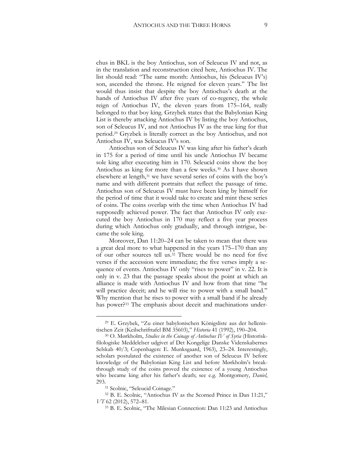chus in BKL is the boy Antiochus, son of Seleucus IV and not, as in the translation and reconstruction cited here, Antiochus IV. The list should read: "The same month: Antiochus, his (Seleucus IV's) son, ascended the throne. He reigned for eleven years." The list would thus insist that despite the boy Antiochus's death at the hands of Antiochus IV after five years of co-regency, the whole reign of Antiochus IV, the eleven years from 175–164, really belonged to that boy king. Grzybek states that the Babylonian King List is thereby attacking Antiochus IV by listing the boy Antiochus, son of Seleucus IV, and not Antiochus IV as the true king for that period.<sup>29</sup> Gryzbek is literally correct as the boy Antiochus, and not Antiochus IV, was Seleucus IV's son.

Antiochus son of Seleucus IV was king after his father's death in 175 for a period of time until his uncle Antiochus IV became sole king after executing him in 170. Seleucid coins show the boy Antiochus as king for more than a few weeks.<sup>30</sup> As I have shown elsewhere at length,<sup>31</sup> we have several series of coins with the boy's name and with different portraits that reflect the passage of time. Antiochus son of Seleucus IV must have been king by himself for the period of time that it would take to create and mint these series of coins. The coins overlap with the time when Antiochus IV had supposedly achieved power. The fact that Antiochus IV only executed the boy Antiochus in 170 may reflect a five year process during which Antiochus only gradually, and through intrigue, became the sole king.

Moreover, Dan 11:20–24 can be taken to mean that there was a great deal more to what happened in the years 175–170 than any of our other sources tell us.<sup>32</sup> There would be no need for five verses if the accession were immediate; the five verses imply a sequence of events. Antiochus IV only "rises to power" in v. 22. It is only in v. 23 that the passage speaks about the point at which an alliance is made with Antiochus IV and how from that time "he will practice deceit; and he will rise to power with a small band." Why mention that he rises to power with a small band if he already has power?<sup>33</sup> The emphasis about deceit and machinations under-

<sup>29</sup> E. Grzybek, "Zu einer babylonischen Königsliste aus der hellenistischen Zeit (Keilschrifttafel BM 35603)," *Historia* 41 (1992), 190–204.

<sup>30</sup> O. Mørkholm, *Studies in the Coinage of Antiochus IV of Syria* (Historiskfilologiske Meddelelser udgivet af Det Kongelige Danske Videnskabernes Selskab 40/3; Copenhagen: E. Munksgaard, 1963), 23–24. Interestingly, scholars postulated the existence of another son of Seleucus IV before knowledge of the Babylonian King List and before Mørkholm's breakthrough study of the coins proved the existence of a young Antiochus who became king after his father's death; see e.g. Montgomery, *Daniel*, 293.

<sup>31</sup> Scolnic, "Seleucid Coinage."

<sup>32</sup> B. E. Scolnic, "Antiochus IV as the Scorned Prince in Dan 11:21," *VT* 62 (2012), 572–81.

<sup>33</sup> B. E. Scolnic, "The Milesian Connection: Dan 11:23 and Antiochus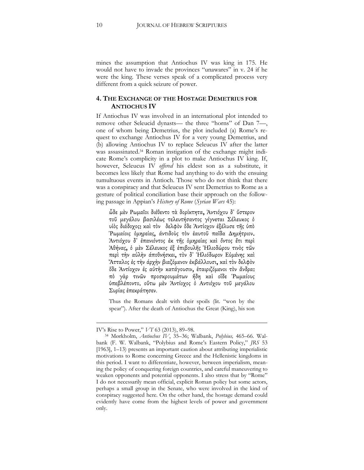mines the assumption that Antiochus IV was king in 175. He would not have to invade the provinces "unawares" in v. 24 if he were the king. These verses speak of a complicated process very different from a quick seizure of power.

#### **4. THE EXCHANGE OF THE HOSTAGE DEMETRIUS FOR ANTIOCHUS IV**

If Antiochus IV was involved in an international plot intended to remove other Seleucid dynasts— the three "horns" of Dan 7—, one of whom being Demetrius, the plot included (a) Rome's request to exchange Antiochus IV for a very young Demetrius, and (b) allowing Antiochus IV to replace Seleucus IV after the latter was assassinated.<sup>34</sup> Roman instigation of the exchange might indicate Rome's complicity in a plot to make Antiochus IV king. If, however, Seleucus IV *offered* his eldest son as a substitute, it becomes less likely that Rome had anything to do with the ensuing tumultuous events in Antioch. Those who do not think that there was a conspiracy and that Seleucus IV sent Demetrius to Rome as a gesture of political conciliation base their approach on the following passage in Appian's *History of Rome* (*Syrian Wars* 45):

ὧδε μὲν Ρωμαῖοι διέθεντο τὰ δορίκτητα, Ἀντιόχου δ᾽ ὕστερον τοῦ μεγάλου βασιλέως τελευτήσαντος γίγνεται Σέλευκος ὁ υἱὸς διάδοχος: καὶ τὸν δελφὸν ὅδε Ἀντίοχον ἐξέλυσε τῆς ὑπὸ Ῥωμαίοις ὁμηρείας, άντιδοὺς τὸν ἑαυτοῦ παῖδα Δημήτριον. Ἀντιόχου δ᾽ ἐπανιόντος ἐκ τῆς ὁμηρείας καὶ ὄντος ἔτι περὶ Ἀθήνας, ὁ μὲν Σέλευκος ἐξ ἐπιβουλῆς Ἡλιοδώρου τινὸς τῶν περὶ τὴν αὐλὴν άποθνήσκει, τὸν δ᾽ Ἡλιόδωρον Εὐμένης καὶ Ἄτταλος ἐς τὴν άρχὴν βιαζόμενον ἐκβάλλουσι, καὶ τὸν δελφὸν ὅδε Ἀντίοχον ἐς αὐτὴν κατάγουσιν, ἑταιριζόμενοι τὸν ἄνδρα: πὸ γὰρ τινῶν προσκρουμάτων ἤδη καὶ οἵδε Ῥωμαίους ὑπεβλέποντο. οὕτω μὲν Ἀντίοχος ὁ Αντιόχου τοῦ μεγάλου Συρίας ἐπεκράτησεν.

Thus the Romans dealt with their spoils (lit. "won by the spear"). After the death of Antiochus the Great (King), his son

<u>.</u>

IV's Rise to Power," *VT* 63 (2013), 89–98.

<sup>34</sup> Mørkholm, *Antiochus IV*, 35–36; Walbank, *Polybius,* 465–66. Walbank (F. W. Walbank, "Polybius and Rome's Eastern Policy," *JRS* 53 [1963], 1–13) presents an important caution about attributing imperialistic motivations to Rome concerning Greece and the Hellenistic kingdoms in this period. I want to differentiate, however, between imperialism, meaning the policy of conquering foreign countries, and careful maneuvering to weaken opponents and potential opponents. I also stress that by "Rome" I do not necessarily mean official, explicit Roman policy but some actors, perhaps a small group in the Senate, who were involved in the kind of conspiracy suggested here. On the other hand, the hostage demand could evidently have come from the highest levels of power and government only.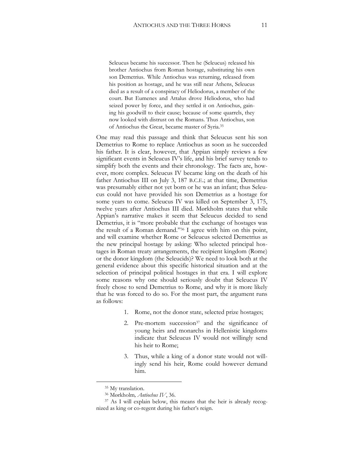Seleucus became his successor. Then he (Seleucus) released his brother Antiochus from Roman hostage, substituting his own son Demetrius. While Antiochus was returning, released from his position as hostage, and he was still near Athens, Seleucus died as a result of a conspiracy of Heliodorus, a member of the court. But Eumenes and Attalus drove Heliodorus, who had seized power by force, and they settled it on Antiochus, gaining his goodwill to their cause; because of some quarrels, they now looked with distrust on the Romans. Thus Antiochus, son of Antiochus the Great, became master of Syria.<sup>35</sup>

One may read this passage and think that Seleucus sent his son Demetrius to Rome to replace Antiochus as soon as he succeeded his father. It is clear, however, that Appian simply reviews a few significant events in Seleucus IV's life, and his brief survey tends to simplify both the events and their chronology. The facts are, however, more complex. Seleucus IV became king on the death of his father Antiochus III on July 3, 187 B.C.E.; at that time, Demetrius was presumably either not yet born or he was an infant; thus Seleucus could not have provided his son Demetrius as a hostage for some years to come. Seleucus IV was killed on September 3, 175, twelve years after Antiochus III died. Mørkholm states that while Appian's narrative makes it seem that Seleucus decided to send Demetrius, it is "more probable that the exchange of hostages was the result of a Roman demand."<sup>36</sup> I agree with him on this point, and will examine whether Rome or Seleucus selected Demetrius as the new principal hostage by asking: Who selected principal hostages in Roman treaty arrangements, the recipient kingdom (Rome) or the donor kingdom (the Seleucids)? We need to look both at the general evidence about this specific historical situation and at the selection of principal political hostages in that era. I will explore some reasons why one should seriously doubt that Seleucus IV freely chose to send Demetrius to Rome, and why it is more likely that he was forced to do so. For the most part, the argument runs as follows:

- 1. Rome, not the donor state, selected prize hostages;
- 2. Pre-mortem succession<sup>37</sup> and the significance of young heirs and monarchs in Hellenistic kingdoms indicate that Seleucus IV would not willingly send his heir to Rome;
- 3. Thus, while a king of a donor state would not willingly send his heir, Rome could however demand him.

<sup>&</sup>lt;sup>35</sup> My translation.

<sup>36</sup> Mørkholm*, Antiochus IV*, 36.

<sup>37</sup> As I will explain below, this means that the heir is already recognized as king or co-regent during his father's reign.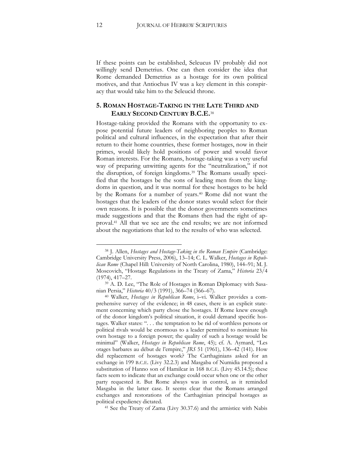If these points can be established, Seleucus IV probably did not willingly send Demetrius. One can then consider the idea that Rome demanded Demetrius as a hostage for its own political motives, and that Antiochus IV was a key element in this conspiracy that would take him to the Seleucid throne.

#### **5. ROMAN HOSTAGE-TAKING IN THE LATE THIRD AND EARLY SECOND CENTURY B.C.E.**<sup>38</sup>

Hostage-taking provided the Romans with the opportunity to expose potential future leaders of neighboring peoples to Roman political and cultural influences, in the expectation that after their return to their home countries, these former hostages, now in their primes, would likely hold positions of power and would favor Roman interests. For the Romans, hostage-taking was a very useful way of preparing unwitting agents for the "neutralization," if not the disruption, of foreign kingdoms.<sup>39</sup> The Romans usually specified that the hostages be the sons of leading men from the kingdoms in question, and it was normal for these hostages to be held by the Romans for a number of years.<sup>40</sup> Rome did not want the hostages that the leaders of the donor states would select for their own reasons. It is possible that the donor governments sometimes made suggestions and that the Romans then had the right of approval.<sup>41</sup> All that we see are the end results; we are not informed about the negotiations that led to the results of who was selected.

<sup>38</sup> J. Allen, *Hostages and Hostage-Taking in the Roman Empire* (Cambridge: Cambridge University Press, 2006), 13–14; C. L. Walker, *Hostages in Republican Rome* (Chapel Hill: University of North Carolina, 1980), 144–91; M. J. Moscovich, "Hostage Regulations in the Treaty of Zama," *Historia* 23/4 (1974), 417–27.

<sup>39</sup> A. D. Lee, "The Role of Hostages in Roman Diplomacy with Sasanian Persia," *Historia* 40/3 (1991), 366–74 (366–67).

<sup>40</sup> Walker, *Hostages in Republican Rome*, i–vi. Walker provides a comprehensive survey of the evidence; in 48 cases, there is an explicit statement concerning which party chose the hostages. If Rome knew enough of the donor kingdom's political situation, it could demand specific hostages. Walker states: ". . . the temptation to be rid of worthless persons or political rivals would be enormous to a leader permitted to nominate his own hostage to a foreign power; the quality of such a hostage would be minimal" (Walker, *Hostages in Republican Rome*, 45); cf. A. Aymard, "Les otages barbares au début de l'empire," *JRS* 51 (1961), 136–42 (141). How did replacement of hostages work? The Carthaginians asked for an exchange in 199 B.C.E. (Livy 32.2.3) and Masgaba of Numidia proposed a substitution of Hanno son of Hamilcar in 168 B.C.E. (Livy 45.14.5); these facts seem to indicate that an exchange could occur when one or the other party requested it. But Rome always was in control, as it reminded Masgaba in the latter case. It seems clear that the Romans arranged exchanges and restorations of the Carthaginian principal hostages as political expediency dictated.

<sup>41</sup> See the Treaty of Zama (Livy 30.37.6) and the armistice with Nabis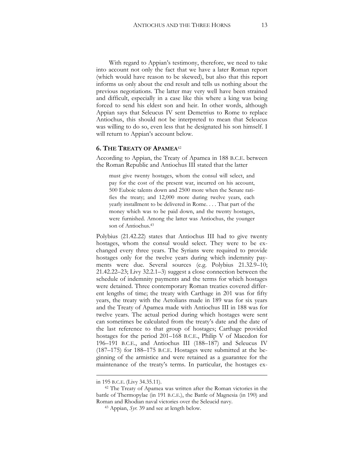With regard to Appian's testimony, therefore, we need to take into account not only the fact that we have a later Roman report (which would have reason to be skewed), but also that this report informs us only about the end result and tells us nothing about the previous negotiations. The latter may very well have been strained and difficult, especially in a case like this where a king was being forced to send his eldest son and heir. In other words, although Appian says that Seleucus IV sent Demetrius to Rome to replace Antiochus, this should not be interpreted to mean that Seleucus was willing to do so, even less that he designated his son himself. I will return to Appian's account below.

#### **6. THE TREATY OF APAMEA**<sup>42</sup>

According to Appian, the Treaty of Apamea in 188 B.C.E. between the [Roman Republic](http://en.wikipedia.org/wiki/Roman_Republic) and [Antiochus III](http://en.wikipedia.org/wiki/Antiochus_III) stated that the latter

must give twenty hostages, whom the consul will select, and pay for the cost of the present war, incurred on his account, 500 Euboic talents down and 2500 more when the [Senate](http://www.livius.org/se-sg/senate/senator.html) ratifies the treaty; and 12,000 more during twelve years, each yearly installment to be delivered in Rome. . . . That part of the money which was to be paid down, and the twenty hostages, were furnished. Among the latter was [Antiochus,](http://www.livius.org/am-ao/antiochus/antiochus_iv_epiphanes.html) the younger son of Antiochus.<sup>43</sup>

Polybius (21.42.22) states that Antiochus III had to give twenty hostages, whom the consul would select. They were to be exchanged every three years. The Syrians were required to provide hostages only for the twelve years during which indemnity payments were due. Several sources (e.g. Polybius 21.32.9–10; 21.42.22–23; Livy 32.2.1–3) suggest a close connection between the schedule of indemnity payments and the terms for which hostages were detained. Three contemporary Roman treaties covered different lengths of time; the treaty with Carthage in 201 was for fifty years, the treaty with the Aetolians made in 189 was for six years and the Treaty of Apamea made with Antiochus III in 188 was for twelve years. The actual period during which hostages were sent can sometimes be calculated from the treaty's date and the date of the last reference to that group of hostages; Carthage provided hostages for the period 201–168 B.C.E., Philip V of Macedon for 196–191 B.C.E., and Antiochus III (188–187) and Seleucus IV (187–175) for 188–175 B.C.E. Hostages were submitted at the beginning of the armistice and were retained as a guarantee for the maintenance of the treaty's terms. In particular, the hostages ex-

1

in 195 B.C.E. (Livy 34.35.11).

<sup>42</sup> The Treaty of Apamea was written after the Roman victories in the [battle of Thermopylae](http://en.wikipedia.org/wiki/Battle_of_Thermopylae_(191_BC)) (in 191 B.C.E.), the [Battle of Magnesia](http://en.wikipedia.org/wiki/Battle_of_Magnesia) (in [190\)](http://en.wikipedia.org/wiki/190) and Roman and Rhodian naval victories over the Seleucid navy.

<sup>43</sup> Appian, *Syr.* 39 and see at length below.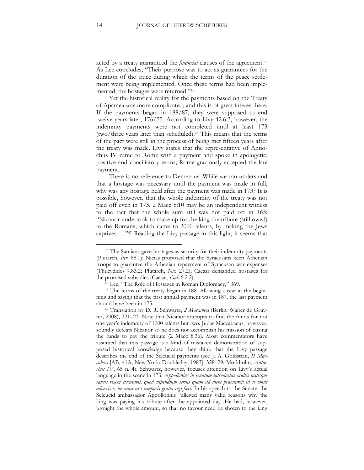acted by a treaty guaranteed the *financial* clauses of the agreement.<sup>44</sup> As Lee concludes, "Their purpose was to act as guarantees for the duration of the truce during which the terms of the peace settlement were being implemented. Once these terms had been implemented, the hostages were returned."<sup>45</sup>

Yet the historical reality for the payments based on the Treaty of Apamea was more complicated, and this is of great interest here. If the payments began in 188/87, they were supposed to end twelve years later, 176/75. According to Livy 42.6.3, however, the indemnity payments were not completed until at least 173 (two/three years later than scheduled).<sup>46</sup> This means that the terms of the pact were still in the process of being met fifteen years after the treaty was made. Livy states that the representative of Antiochus IV came to Rome with a payment and spoke in apologetic, positive and conciliatory terms; Rome graciously accepted the late payment.

There is no reference to Demetrius. While we can understand that a hostage was necessary until the payment was made in full, why was any hostage held after the payment was made in 173? It is possible, however, that the whole indemnity of the treaty was not paid off even in 173. 2 Macc 8:10 may be an independent witness to the fact that the whole sum still was not paid off in 165: "Nicanor undertook to make up for the king the tribute (still owed) to the Romans, which came to 2000 talents, by making the Jews captives. . ." <sup>47</sup> Reading the Livy passage in this light, it seems that

<sup>44</sup> The Samians gave hostages as security for their indemnity payments (Plutarch, *Per.* 88.1); Nicias proposed that the Syracusans keep Athenian troops to guarantee the Athenian repayment of Syracusan war expenses (Thucydides 7.83.2; Plutarch, *Nic.* 27.2); Caesar demanded hostages for the promised subsidies (Caesar, *Gal.* 6.2.2).

<sup>45</sup> Lee, "The Role of Hostages in Roman Diplomacy," 369.

<sup>46</sup> The terms of the treaty began in 188. Allowing a year at the beginning and saying that the first annual payment was in 187, the last payment should have been in 175.

<sup>47</sup> Translation by D. R. Schwartz, *2 Maccabees* (Berlin: Walter de Gruyter, 2008), 321–23. Note that Nicanor attempts to find the funds for not one year's indemnity of 1000 talents but two. Judas Maccabaeus, however, soundly defeats Nicanor so he does not accomplish his mission of raising the funds to pay the tribute (2 Macc 8:36). Most commentators have assumed that this passage is a kind of mistaken demonstration of supposed historical knowledge because they think that the Livy passage describes the end of the Seleucid payments (see J. A. Goldstein, *II Maccabees* [AB, 41A; New York: Doubleday, 1983], 328–29; Mørkholm, *Antiochus IV*, 65 n. 4). Schwartz, however, focuses attention on Livy's actual language in the scene in 173: *Appollonius in senatum introductus multis iustisque causis regem excusavit, quod stipendium serius quam ad diem praestaret; id se omne advexisse, ne cuius nisi temporis gratia regi fieri*. In his speech to the Senate, the Seleucid ambassador Appollonius "alleged many valid reasons why the king was paying his tribute after the appointed day. He had, however, brought the whole amount, so that no favour need be shown to the king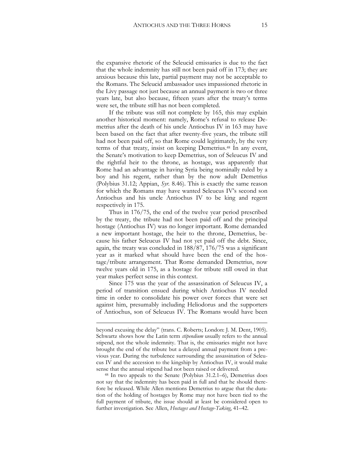the expansive rhetoric of the Seleucid emissaries is due to the fact that the whole indemnity has still not been paid off in 173; they are anxious because this late, partial payment may not be acceptable to the Romans. The Seleucid ambassador uses impassioned rhetoric in the Livy passage not just because an annual payment is two or three years late, but also because, fifteen years after the treaty's terms were set, the tribute still has not been completed.

If the tribute was still not complete by 165, this may explain another historical moment: namely, Rome's refusal to release Demetrius after the death of his uncle Antiochus IV in 163 may have been based on the fact that after twenty-five years, the tribute still had not been paid off, so that Rome could legitimately, by the very terms of that treaty, insist on keeping Demetrius.<sup>48</sup> In any event, the [Senate](http://en.wikipedia.org/wiki/Roman_Senate)'s motivation to keep Demetrius, son of [Seleucus IV](http://en.wikipedia.org/wiki/Seleucus_IV_Philopator) and the rightful heir to the throne, as hostage, was apparently that Rome had an advantage in having Syria being nominally ruled by a boy and his regent, rather than by the now adult Demetrius (Polybius 31.12; Appian, *Syr.* 8.46). This is exactly the same reason for which the Romans may have wanted Seleucus IV's second son Antiochus and his uncle Antiochus IV to be king and regent respectively in 175.

Thus in 176/75, the end of the twelve year period prescribed by the treaty, the tribute had not been paid off and the principal hostage (Antiochus IV) was no longer important. Rome demanded a new important hostage, the heir to the throne, Demetrius, because his father Seleucus IV had not yet paid off the debt. Since, again, the treaty was concluded in 188/87, 176/75 was a significant year as it marked what should have been the end of the hostage/tribute arrangement. That Rome demanded Demetrius, now twelve years old in 175, as a hostage for tribute still owed in that year makes perfect sense in this context.

Since 175 was the year of the assassination of Seleucus IV, a period of transition ensued during which Antiochus IV needed time in order to consolidate his power over forces that were set against him, presumably including Heliodorus and the supporters of Antiochus, son of Seleucus IV. The Romans would have been

<u>.</u>

beyond excusing the delay" (trans. C. Roberts; London: J. M. Dent, 1905). Schwartz shows how the Latin term *stipendium* usually refers to the annual stipend, not the whole indemnity. That is, the emissaries might not have brought the end of the tribute but a delayed annual payment from a previous year. During the turbulence surrounding the assassination of Seleucus IV and the accession to the kingship by Antiochus IV, it would make sense that the annual stipend had not been raised or delivered.

<sup>48</sup> In two appeals to the Senate (Polybius 31.2.1–6), Demetrius does not say that the indemnity has been paid in full and that he should therefore be released. While Allen mentions Demetrius to argue that the duration of the holding of hostages by Rome may not have been tied to the full payment of tribute, the issue should at least be considered open to further investigation. See Allen, *Hostages and Hostage-Taking*, 41–42.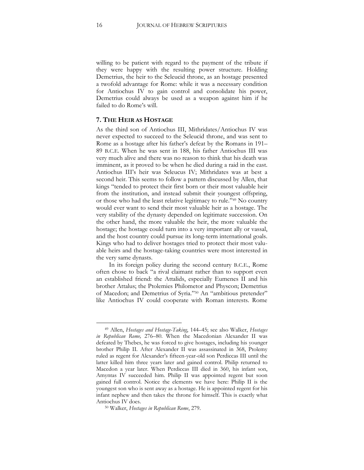willing to be patient with regard to the payment of the tribute if they were happy with the resulting power structure. Holding Demetrius, the heir to the Seleucid throne, as an hostage presented a twofold advantage for Rome: while it was a necessary condition for Antiochus IV to gain control and consolidate his power, Demetrius could always be used as a weapon against him if he failed to do Rome's will.

#### **7. THE HEIR AS HOSTAGE**

As the third son of [Antiochus III,](javascript:launch() Mithridates/Antiochus IV was never expected to succeed to the Seleucid throne, and was sent to Rome as a hostage after his father's defeat by the Romans in 191– 89 B.C.E. When he was sent in 188, his father Antiochus III was very much alive and there was no reason to think that his death was imminent, as it proved to be when he died during a raid in the east. Antiochus III's heir was Seleucus IV; Mithridates was at best a second heir. This seems to follow a pattern discussed by Allen, that kings "tended to protect their first born or their most valuable heir from the institution, and instead submit their youngest offspring, or those who had the least relative legitimacy to rule."<sup>49</sup> No country would ever want to send their most valuable heir as a hostage. The very stability of the dynasty depended on legitimate succession. On the other hand, the more valuable the heir, the more valuable the hostage; the hostage could turn into a very important ally or vassal, and the host country could pursue its long-term international goals. Kings who had to deliver hostages tried to protect their most valuable heirs and the hostage-taking countries were most interested in the very same dynasts.

In its foreign policy during the second century B.C.E., Rome often chose to back "a rival claimant rather than to support even an established friend: the Attalids, especially Eumenes II and his brother Attalus; the Ptolemies Philometor and Physcon; Demetrius of Macedon; and Demetrius of Syria."<sup>50</sup> An "ambitious pretender" like Antiochus IV could cooperate with Roman interests. Rome

<sup>49</sup> Allen, *Hostages and Hostage-Taking*, 144–45; see also Walker, *Hostages in Republican Rome,* 276–80. When the Macedonian Alexander II was defeated by Thebes, he was forced to give hostages, including his younger brother [Philip](http://en.wikipedia.org/wiki/Philip_II_of_Macedon) II. After Alexander II was assassinated in 368, Ptolemy ruled as regent for Alexander's fifteen-year-old son Perdiccas III until the latter killed him three years later and gained control. Philip returned to Macedon a year later. When Perdiccas III died in 360, his infant son, [Amyntas IV](http://en.wikipedia.org/wiki/Amyntas_IV_of_Macedon) succeeded him. Philip II was appointed regent but soon gained full control. Notice the elements we have here: Philip II is the youngest son who is sent away as a hostage. He is appointed regent for his infant nephew and then takes the throne for himself. This is exactly what Antiochus IV does.

<sup>50</sup> Walker, *Hostages in Republican Rome*, 279.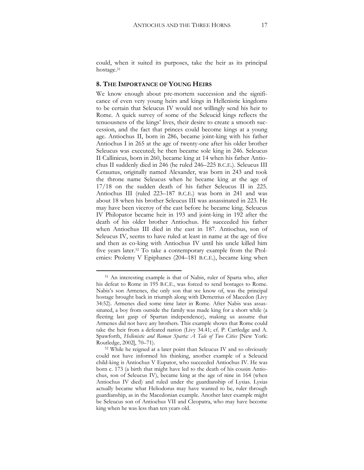could, when it suited its purposes, take the heir as its principal hostage.<sup>51</sup>

#### **8. THE IMPORTANCE OF YOUNG HEIRS**

We know enough about pre-mortem succession and the significance of even very young heirs and kings in Hellenistic kingdoms to be certain that Seleucus IV would not willingly send his heir to Rome. A quick survey of some of the Seleucid kings reflects the tenuousness of the kings' lives, their desire to create a smooth succession, and the fact that princes could become kings at a young age. Antiochus II, born in 286, became joint-king with his father Antiochus I in 265 at the age of twenty-one after his older brother Seleucus was executed; he then became sole king in 246. [Seleucus](http://en.wikipedia.org/wiki/Seleucus_II_Callinicus)  [II Callinicus,](http://en.wikipedia.org/wiki/Seleucus_II_Callinicus) born in 260, became king at 14 when his father Antiochus II suddenly died in 246 (he ruled 246–225 B.C.E.). [Seleucus III](http://en.wikipedia.org/wiki/Seleucus_III_Ceraunus)  [Ceraunus,](http://en.wikipedia.org/wiki/Seleucus_III_Ceraunus) originally named Alexander, was born in 243 and took the throne name Seleucus when he became king at the age of 17/18 on the sudden death of his father Seleucus II in 225. [Antiochus III \(](http://en.wikipedia.org/wiki/Antiochus_III_the_Great)ruled 223–187 B.C.E.) was born in 241 and was about 18 when his brother Seleucus III was assassinated in 223. He may have been viceroy of the east before he became king. [Seleucus](http://en.wikipedia.org/wiki/Seleucus_IV_Philopator)  [IV Philopator](http://en.wikipedia.org/wiki/Seleucus_IV_Philopator) became heir in 193 and joint-king in 192 after the death of his older brother Antiochus. He succeeded his father when Antiochus III died in the east in 187. Antiochus, son of Seleucus IV, seems to have ruled at least in name at the age of five and then as co-king with Antiochus IV until his uncle killed him five years later.<sup>52</sup> To take a contemporary example from the Ptolemies: Ptolemy V Epiphanes (204–181 B.C.E.), became king when

<sup>51</sup> An interesting example is that of Nabis, ruler of Sparta who, after his defeat to Rome in 195 B.C.E., was forced to send hostages to Rome. Nabis's son Armenes, the only son that we know of, was the principal hostage brought back in triumph along with Demetrius of Macedon (Livy 34:52). Armenes died some time later in Rome. After Nabis was assassinated, a boy from outside the family was made king for a short while (a fleeting last gasp of Spartan independence), making us assume that Armenes did not have any brothers. This example shows that Rome could take the heir from a defeated nation (Livy 34.41; cf. P. Cartledge and A. Spawforth, *Hellenistic and Roman Sparta: A Tale of Two Cities* [New York: Routledge, 2002], 70–71).

<sup>52</sup> While he reigned at a later point than Seleucus IV and so obviously could not have informed his thinking, another example of a Seleucid child-king is Antiochus V Eupator, who succeeded Antiochus IV. He was born c. 173 (a birth that might have led to the death of his cousin Antiochus, son of Seleucus IV), became king at the age of nine in 164 (when Antiochus IV died) and ruled under the guardianship of Lysias. Lysias actually became what Heliodorus may have wanted to be, ruler through guardianship, as in the Macedonian example. Another later example might be Seleucus son of Antiochus VII and Cleopatra, who may have become king when he was less than ten years old.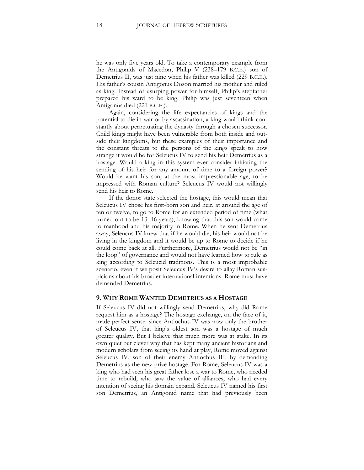he was only five years old. To take a contemporary example from the Antigonids of Macedon, Philip V (238–179 B.C.E.) son of [Demetrius II,](javascript:launch() was just nine when his father was killed (229 B.C.E.). His father's cousin Antigonus Doson married his mother and ruled as king. Instead of usurping power for himself, Philip's stepfather prepared his ward to be king. Philip was just seventeen when Antigonus died (221 B.C.E.).

Again, considering the life expectancies of kings and the potential to die in war or by assassination, a king would think constantly about perpetuating the dynasty through a chosen successor. Child kings might have been vulnerable from both inside and outside their kingdoms, but these examples of their importance and the constant threats to the persons of the kings speak to how strange it would be for Seleucus IV to send his heir Demetrius as a hostage. Would a king in this system ever consider initiating the sending of his heir for any amount of time to a foreign power? Would he want his son, at the most impressionable age, to be impressed with Roman culture? Seleucus IV would not willingly send his heir to Rome.

If the donor state selected the hostage, this would mean that Seleucus IV chose his first-born son and heir, at around the age of ten or twelve, to go to Rome for an extended period of time (what turned out to be 13–16 years), knowing that this son would come to manhood and his majority in Rome. When he sent Demetrius away, Seleucus IV knew that if he would die, his heir would not be living in the kingdom and it would be up to Rome to decide if he could come back at all. Furthermore, Demetrius would not be "in the loop" of governance and would not have learned how to rule as king according to Seleucid traditions. This is a most improbable scenario, even if we posit Seleucus IV's desire to allay Roman suspicions about his broader international intentions. Rome must have demanded Demetrius.

#### **9. WHY ROME WANTED DEMETRIUS AS A HOSTAGE**

If Seleucus IV did not willingly send Demetrius, why did Rome request him as a hostage? The hostage exchange, on the face of it, made perfect sense: since Antiochus IV was now only the brother of Seleucus IV, that king's oldest son was a hostage of much greater quality. But I believe that much more was at stake. In its own quiet but clever way that has kept many ancient historians and modern scholars from seeing its hand at play, Rome moved against Seleucus IV, son of their enemy Antiochus III, by demanding Demetrius as the new prize hostage. For Rome, Seleucus IV was a king who had seen his great father lose a war to Rome, who needed time to rebuild, who saw the value of alliances, who had every intention of seeing his domain expand. Seleucus IV named his first son Demetrius, an Antigonid name that had previously been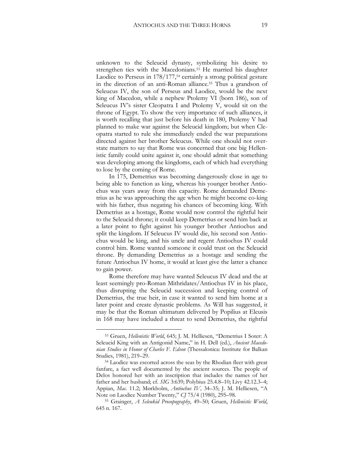unknown to the Seleucid dynasty, symbolizing his desire to strengthen ties with the Macedonians.<sup>53</sup> He married his daughter Laodice to Perseus in 178/177,<sup>54</sup> certainly a strong political gesture in the direction of an anti-Roman alliance.<sup>55</sup> Thus a grandson of Seleucus IV, the son of Perseus and Laodice, would be the next king of Macedon, while a nephew Ptolemy VI (born 186), son of Seleucus IV's sister Cleopatra I and Ptolemy V, would sit on the throne of Egypt. To show the very importance of such alliances, it is worth recalling that just before his death in 180, Ptolemy V had planned to make war against the Seleucid kingdom; but when Cleopatra started to rule she immediately ended the war preparations directed against her brother Seleucus. While one should not overstate matters to say that Rome was concerned that one big Hellenistic family could unite against it, one should admit that something was developing among the kingdoms, each of which had everything to lose by the coming of Rome.

In 175, Demetrius was becoming dangerously close in age to being able to function as king, whereas his younger brother Antiochus was years away from this capacity. Rome demanded Demetrius as he was approaching the age when he might become co-king with his father, thus negating his chances of becoming king. With Demetrius as a hostage, Rome would now control the rightful heir to the Seleucid throne; it could keep Demetrius or send him back at a later point to fight against his younger brother Antiochus and split the kingdom. If Seleucus IV would die, his second son Antiochus would be king, and his uncle and regent Antiochus IV could control him. Rome wanted someone it could trust on the Seleucid throne. By demanding Demetrius as a hostage and sending the future Antiochus IV home, it would at least give the latter a chance to gain power.

Rome therefore may have wanted Seleucus IV dead and the at least seemingly pro-Roman Mithridates/Antiochus IV in his place, thus disrupting the Seleucid succession and keeping control of Demetrius, the true heir, in case it wanted to send him home at a later point and create dynastic problems. As Will has suggested, it may be that the Roman ultimatum delivered by Popilius at Eleusis in 168 may have included a threat to send Demetrius, the rightful

<sup>53</sup> Gruen, *Hellenistic World*, 645; J. M. Helliesen, "Demetrius I Soter: A Seleucid King with an Antigonid Name," in H. Dell (ed.), *Ancient Macedonian Studies in Honor of Charles F. Edson* (Thessalonica: Institute for Balkan Studies, 1981), 219–29.

<sup>54</sup> Laodice was escorted across the seas by the Rhodian fleet with great fanfare, a fact well documented by the ancient sources. The people of Delos honored her with an inscription that includes the names of her father and her husband; cf. *SIG* 3:639; Polybius 25.4.8–10; Livy 42.12.3–4; Appian, *Mac.* 11.2; Mørkholm, *Antiochus IV,* 34–35; J. M. Helliesen, "A Note on Laodice Number Twenty," *CJ* 75/4 (1980), 295–98.

<sup>55</sup> Grainger, *A Seleukid Prosopography*, 49–50; Gruen, *Hellenistic World*, 645 n. 167.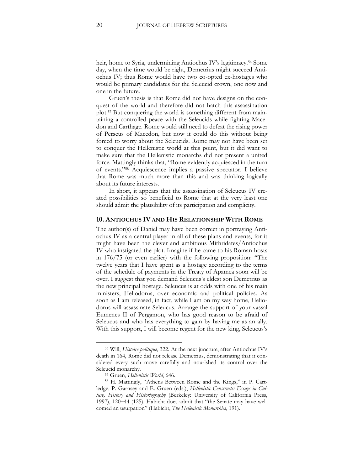heir, home to Syria, undermining Antiochus IV's legitimacy.<sup>56</sup> Some day, when the time would be right, Demetrius might succeed Antiochus IV; thus Rome would have two co-opted ex-hostages who would be primary candidates for the Seleucid crown, one now and one in the future.

Gruen's thesis is that Rome did not have designs on the conquest of the world and therefore did not hatch this assassination plot.<sup>57</sup> But conquering the world is something different from maintaining a controlled peace with the Seleucids while fighting Macedon and Carthage. Rome would still need to defeat the rising power of Perseus of Macedon, but now it could do this without being forced to worry about the Seleucids. Rome may not have been set to conquer the Hellenistic world at this point, but it did want to make sure that the Hellenistic monarchs did not present a united force. Mattingly thinks that, "Rome evidently acquiesced in the turn of events."<sup>58</sup> Acquiescence implies a passive spectator. I believe that Rome was much more than this and was thinking logically about its future interests.

In short, it appears that the assassination of Seleucus IV created possibilities so beneficial to Rome that at the very least one should admit the plausibility of its participation and complicity.

#### **10. ANTIOCHUS IV AND HIS RELATIONSHIP WITH ROME**

The author(s) of Daniel may have been correct in portraying Antiochus IV as a central player in all of these plans and events, for it might have been the clever and ambitious Mithridates/Antiochus IV who instigated the plot. Imagine if he came to his Roman hosts in 176/75 (or even earlier) with the following proposition: "The twelve years that I have spent as a hostage according to the terms of the schedule of payments in the Treaty of Apamea soon will be over. I suggest that you demand Seleucus's eldest son Demetrius as the new principal hostage. Seleucus is at odds with one of his main ministers, Heliodorus, over economic and political policies. As soon as I am released, in fact, while I am on my way home, Heliodorus will assassinate Seleucus. Arrange the support of your vassal Eumenes II of Pergamon, who has good reason to be afraid of Seleucus and who has everything to gain by having me as an ally. With this support, I will become regent for the new king, Seleucus's

<sup>56</sup> Will, *Histoire politique*, 322. At the next juncture, after Antiochus IV's death in 164, Rome did not release Demetrius, demonstrating that it considered every such move carefully and nourished its control over the Seleucid monarchy.

<sup>57</sup> Gruen, *Hellenistic World*, 646.

<sup>58</sup> H. Mattingly, "Athens Between Rome and the Kings," in P. Cartledge, P. Garnsey and E. Gruen (eds.), *Hellenistic Constructs: Essays in Culture, History and Historiography* (Berkeley: University of California Press, 1997), 120-44 (125). Habicht does admit that "the Senate may have welcomed an usurpation" (Habicht, *The Hellenistic Monarchies*, 191).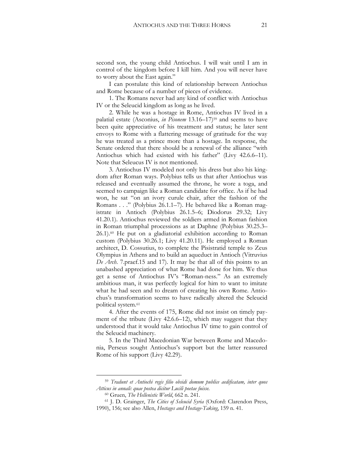second son, the young child Antiochus. I will wait until I am in control of the kingdom before I kill him. And you will never have to worry about the East again."

I can postulate this kind of relationship between Antiochus and Rome because of a number of pieces of evidence.

1. The Romans never had any kind of conflict with Antiochus IV or the Seleucid kingdom as long as he lived.

2. While he was a hostage in Rome, Antiochus IV lived in a palatial estate (Asconius, *in Pisonem* 13.16–17)<sup>59</sup> and seems to have been quite appreciative of his treatment and status; he later sent envoys to Rome with a flattering message of gratitude for the way he was treated as a prince more than a hostage. In response, the Senate ordered that there should be a renewal of the alliance "with Antiochus which had existed with his father" (Livy 42.6.6–11). Note that Seleucus IV is not mentioned.

3. Antiochus IV modeled not only his dress but also his kingdom after Roman ways. Polybius tells us that after Antiochus was released and eventually assumed the throne, he wore a toga, and seemed to campaign like a Roman candidate for office. As if he had won, he sat "on an ivory curule chair, after the fashion of the Romans . . ." (Polybius 26.1.1–7). He behaved like a Roman magistrate in Antioch (Polybius 26.1.5–6; Diodorus 29.32; Livy 41.20.1). Antiochus reviewed the soldiers armed in Roman fashion in Roman triumphal processions as at Daphne (Polybius 30.25.3– 26.1).<sup>60</sup> He put on a gladiatorial exhibition according to Roman custom (Polybius 30.26.1; Livy 41.20.11). He employed a Roman architect, D. Cossutius, to complete the Pisistratid temple to Zeus Olympius in Athens and to build an aqueduct in Antioch (Vitruvius *De Arch*. 7.praef.15 and 17). It may be that all of this points to an unabashed appreciation of what Rome had done for him. We thus get a sense of Antiochus IV's "Roman-ness." As an extremely ambitious man, it was perfectly logical for him to want to imitate what he had seen and to dream of creating his own Rome. Antiochus's transformation seems to have radically altered the Seleucid political system.<sup>61</sup>

4. After the events of 175, Rome did not insist on timely payment of the tribute (Livy 42.6.6–12), which may suggest that they understood that it would take Antiochus IV time to gain control of the Seleucid machinery.

5. In the Third Macedonian War between Rome and Macedonia, Perseus sought Antiochus's support but the latter reassured Rome of his support (Livy 42.29).

<sup>59</sup> *Tradunt et Antiochi regis filio obsidi domum publice aedificatam, inter quos Atticus in annali: quae postea dicitur Lucili poetae fuisse.*

<sup>60</sup> Gruen, *The Hellenistic World*, 662 n. 241.

<sup>61</sup> J. D. Grainger, *The Cities of Seleucid Syria* (Oxford: Clarendon Press, 1990), 156; see also Allen, *Hostages and Hostage-Taking*, 159 n. 41.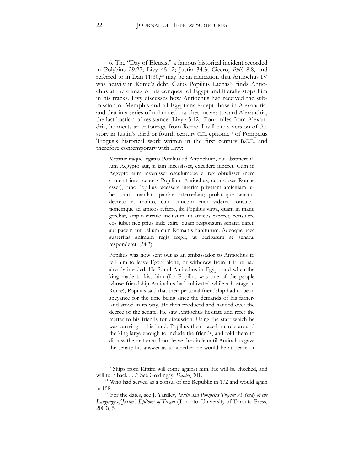6. The "Day of Eleusis," a famous historical incident recorded in Polybius 29.27; Livy 45.12; Justin 34.3; Cicero, *Phil.* 8.8, and referred to in [Dan 11:3](http://en.wikipedia.org/wiki/Daniel_11)0,<sup>62</sup> may be an indication that Antiochus IV was heavily in Rome's debt. Gaius Popilius Laenas<sup>63</sup> finds Antiochus at the climax of his conquest of Egypt and literally stops him in his tracks. Livy discusses how Antiochus had received the submission of Memphis and all Egyptians except those in Alexandria, and that in a series of unhurried marches moves toward Alexandria, the last bastion of resistance (Livy 45.12). Four miles from Alexandria, he meets an entourage from Rome. I will cite a version of the story in Justin's third or fourth century C.E. epitome<sup>64</sup> of Pompeius Trogus's historical work written in the first century B.C.E. and therefore contemporary with Livy:

Mittitur itaque legatus Popilius ad Antiochum, qui abstinere illum Aegypto aut, si iam incessisset, excedere iuberet. Cum in Aegypto eum invenisset osculumque ei rex obtulisset (nam coluerat inter ceteros Popilium Antiochus, cum obses Romae esset), tunc Popilius facessere interim privatam amicitiam iubet, cum mandata patriae intercedant; prolatoque senatus decreto et tradito, cum cunctari eum videret consultationemque ad amicos referre, ibi Popilius virga, quam in manu gerebat, amplo circulo inclusum, ut amicos caperet, consulere eos iubet nec prius inde exire, quam responsum senatui daret, aut pacem aut bellum cum Romanis habiturum. Adeoque haec austeritas animum regis fregit, ut pariturum se senatui responderet. (34.3)

Popilius was now sent out as an ambassador to Antiochus to tell him to leave Egypt alone, or withdraw from it if he had already invaded. He found Antiochus in Egypt, and when the king made to kiss him (for Popilius was one of the people whose friendship Antiochus had cultivated while a hostage in Rome), Popilius said that their personal friendship had to be in abeyance for the time being since the demands of his fatherland stood in its way. He then produced and handed over the decree of the senate. He saw Antiochus hesitate and refer the matter to his friends for discussion. Using the staff which he was carrying in his hand, Popilius then traced a circle around the king large enough to include the friends, and told them to discuss the matter and not leave the circle until Antiochus gave the senate his answer as to whether he would be at peace or

<sup>&</sup>lt;sup>62</sup> "Ships from [Kittim](http://en.wikipedia.org/wiki/Kittim) will come against him. He will be checked, and will turn back . . ." See [Goldingay,](http://en.wikipedia.org/wiki/John_Goldingay) *Daniel*, 301.

<sup>63</sup> Who had served as a consul of the [Republic](http://en.wikipedia.org/wiki/Roman_Republic) in [172](http://en.wikipedia.org/wiki/172_BC) and would again in 158.

<sup>64</sup> For the dates, see J. Yardley, *Justin and Pompeius Trogus: A Study of the Language of Justin's Epitome of Trogus* (Toronto: University of Toronto Press, 2003), 5.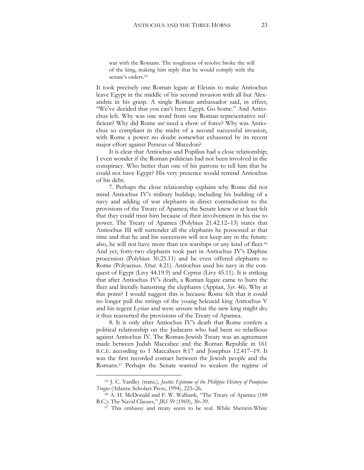war with the Romans. The toughness of resolve broke the will of the king, making him reply that he would comply with the senate's orders.<sup>65</sup>

It took precisely one Roman legate at Eleusis to make Antiochus leave Egypt in the middle of his second invasion with all but Alexandria in his grasp. A single Roman ambassador said, in effect, "We've decided that you can't have Egypt. Go home." And Antiochus left. Why was one word from one Roman representative sufficient? Why did Rome *not* need a show of force? Why was Antiochus so compliant in the midst of a second successful invasion, with Rome a power no doubt somewhat exhausted by its recent major effort against Perseus of Macedon?

It is clear that Antiochus and Popilius had a close relationship; I even wonder if the Roman politician had not been involved in the conspiracy. Who better than one of his patrons to tell him that he could not have Egypt? His very presence would remind Antiochus of his debt.

7. Perhaps the close relationship explains why Rome did not mind Antiochus IV's military buildup, including his building of a navy and adding of war elephants in direct contradiction to the provisions of the Treaty of Apamea; the Senate knew or at least felt that they could trust him because of their involvement in his rise to power. The Treaty of Apamea (Polybius 21.42.12–13) states that Antiochus III will surrender all the elephants he possessed at that time and that he and his successors will not keep any in the future: also, he will not have more than ten warships or any kind of fleet.<sup>66</sup> And yet, forty-two elephants took part in Antiochus IV's Daphne procession (Polybius 30.25.11) and he even offered elephants to Rome (Polyaenus. *Strat.* 4.21). Antiochus used his navy in the conquest of Egypt (Livy 44.19.9) and Cyprus (Livy 45.11). It is striking that after Antiochus IV's death, a Roman legate came to burn the fleet and literally hamstring the elephants (Appian, *Syr.* 46). Why at this point? I would suggest this is because Rome felt that it could no longer pull the strings of the young Seleucid king Antiochus V and his regent Lysias and were unsure what the new king might do; it thus reasserted the provisions of the Treaty of Apamea.

8. It is only after Antiochus IV's death that Rome confers a political relationship on the Judaeans who had been so rebellious against Antiochus IV. The [Roman-Jewish Treaty](http://en.wikipedia.org/wiki/Roman-Jewish_Treaty) was an agreement made between Judah Maccabee and the [Roman Republic](http://en.wikipedia.org/wiki/Roman_Republic) in 161 B.C.E. according to [1 Maccabees](http://en.wikipedia.org/wiki/1_Maccabees) 8:17 and [Josephus](http://en.wikipedia.org/wiki/Josephus) 12.417–19. It was the first recorded contact between the [Jewish](http://en.wikipedia.org/wiki/Jewish) people and the [Romans.](http://en.wikipedia.org/wiki/Ancient_Rome) <sup>67</sup> Perhaps the Senate wanted to weaken the regime of

<sup>65</sup> J. C. Yardley (trans.), *Justin: Epitome of the Philippic History of Pompeius Trogus* (Atlanta: Scholars Press, 1994), 225–26.

<sup>66</sup> A. H. McDonald and F. W. Walbank, "The Treaty of Apamea (188 B.C.): The Naval Clauses," *JRS* 59 (1969), 30–39.

<sup>&</sup>lt;sup>67</sup> This embassy and treaty seem to be real. While [Sherwin-White](http://en.wikipedia.org/wiki/A.N._Sherwin-White)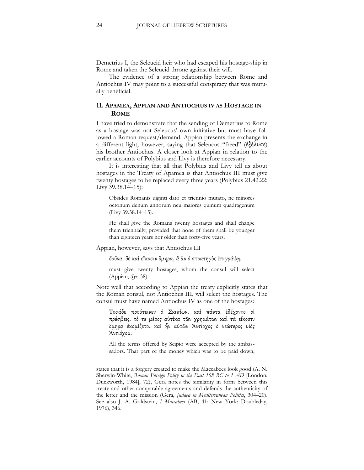Demetrius I, the Seleucid heir who had escaped his hostage-ship in Rome and taken the Seleucid throne against their will.

The evidence of a strong relationship between Rome and Antiochus IV may point to a successful conspiracy that was mutually beneficial.

#### **11. APAMEA, APPIAN AND ANTIOCHUS IV AS HOSTAGE IN ROME**

I have tried to demonstrate that the sending of Demetrius to Rome as a hostage was not Seleucus' own initiative but must have followed a Roman request/demand. Appian presents the exchange in a different light, however, saying that Seleucus "freed" (ἐξέλυσε) his brother Antiochus. A closer look at Appian in relation to the earlier accounts of Polybius and Livy is therefore necessary.

It is interesting that all that Polybius and Livy tell us about hostages in the Treaty of Apamea is that Antiochus III must give twenty hostages to be replaced every three years (Polybius 21.42.22; Livy 39.38.14–15):

Obsides Romanis uiginti dato et triennio mutato, ne minores octonum denum annorum neu maiores quinum quadragenum (Livy 39.38.14–15).

He shall give the Romans twenty hostages and shall change them triennially, provided that none of them shall be younger than eighteen years nor older than forty-five years.

Appian, however, says that Antiochus III

δοῦναι δὲ καὶ εἴκοσιν ὅμηρα, ἃ ἂν ὁ στρατηγὸς ἐπιγράψῃ.

must give twenty hostages, whom the consul will select (Appian, *Syr.* 38).

Note well that according to Appian the treaty explicitly states that the Roman consul, not Antiochus III, will select the hostages. The consul must have named Antiochus IV as one of the hostages:

Τοσάδε προύτεινεν ὁ Σκιπίων, καὶ πάντα ἐδέχοντο οἱ πρέσβεις. τὁ τε μέρος αὐτίκα τῶν χρημάτων καὶ τὰ εἴκοσιν ὅμηρα ἐκομίζετο, καὶ ἦν αὐτῶν Ἀντίοχος ὁ νεώτερος υἱὸς Ἀντιόχου.

All the terms offered by Scipio were accepted by the ambassadors. That part of the money which was to be paid down,

<u>.</u>

states that it is a forgery created to make the Maccabees look good (A. N. Sherwin-White, *Roman Foreign Policy in the East 168 BC to 1 AD* [London: Duckworth, 1984], 72), Gera notes the similarity in form between this treaty and other comparable agreements and defends the authenticity of the letter and the mission (Gera, *Judaea in Mediterranean Politics*, 304–20). See also J. A. Goldstein, *I Maccabees* (AB, 41; New York: Doubleday, 1976), 346.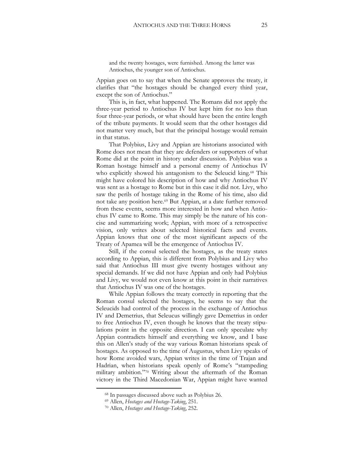and the twenty hostages, were furnished. Among the latter was Antiochus, the younger son of Antiochus.

Appian goes on to say that when the Senate approves the treaty, it clarifies that "the hostages should be changed every third year, except the son of Antiochus."

This is, in fact, what happened. The Romans did not apply the three-year period to Antiochus IV but kept him for no less than four three-year periods, or what should have been the entire length of the tribute payments. It would seem that the other hostages did not matter very much, but that the principal hostage would remain in that status.

That Polybius, Livy and Appian are historians associated with Rome does not mean that they are defenders or supporters of what Rome did at the point in history under discussion. Polybius was a Roman hostage himself and a personal enemy of Antiochus IV who explicitly showed his antagonism to the Seleucid king.<sup>68</sup> This might have colored his description of how and why Antiochus IV was sent as a hostage to Rome but in this case it did not. Livy, who saw the perils of hostage taking in the Rome of his time, also did not take any position here.<sup>69</sup> But Appian, at a date further removed from these events, seems more interested in how and when Antiochus IV came to Rome. This may simply be the nature of his concise and summarizing work; Appian, with more of a retrospective vision, only writes about selected historical facts and events. Appian knows that one of the most significant aspects of the Treaty of Apamea will be the emergence of Antiochus IV.

Still, if the consul selected the hostages, as the treaty states according to Appian, this is different from Polybius and Livy who said that Antiochus III must give twenty hostages without any special demands. If we did not have Appian and only had Polybius and Livy, we would not even know at this point in their narratives that Antiochus IV was one of the hostages.

While Appian follows the treaty correctly in reporting that the Roman consul selected the hostages, he seems to say that the Seleucids had control of the process in the exchange of Antiochus IV and Demetrius, that Seleucus willingly gave Demetrius in order to free Antiochus IV, even though he knows that the treaty stipulations point in the opposite direction. I can only speculate why Appian contradicts himself and everything we know, and I base this on Allen's study of the way various Roman historians speak of hostages. As opposed to the time of Augustus, when Livy speaks of how Rome avoided wars, Appian writes in the time of Trajan and Hadrian, when historians speak openly of Rome's "stampeding military ambition."<sup>70</sup> Writing about the aftermath of the Roman victory in the Third Macedonian War, Appian might have wanted

<sup>68</sup> In passages discussed above such as Polybius 26.

<sup>69</sup> Allen, *Hostages and Hostage-Taking*, 251.

<sup>70</sup> Allen, *Hostages and Hostage-Taking*, 252.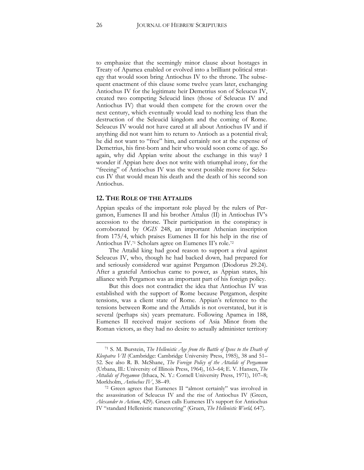to emphasize that the seemingly minor clause about hostages in Treaty of Apamea enabled or evolved into a brilliant political strategy that would soon bring Antiochus IV to the throne. The subsequent enactment of this clause some twelve years later, exchanging Antiochus IV for the legitimate heir Demetrius son of Seleucus IV, created two competing Seleucid lines (those of Seleucus IV and Antiochus IV) that would then compete for the crown over the next century, which eventually would lead to nothing less than the destruction of the Seleucid kingdom and the coming of Rome. Seleucus IV would not have cared at all about Antiochus IV and if anything did not want him to return to Antioch as a potential rival; he did not want to "free" him, and certainly not at the expense of Demetrius, his first-born and heir who would soon come of age. So again, why did Appian write about the exchange in this way? I wonder if Appian here does not write with triumphal irony, for the "freeing" of Antiochus IV was the worst possible move for Seleucus IV that would mean his death and the death of his second son Antiochus.

#### **12. THE ROLE OF THE ATTALIDS**

Appian speaks of the important role played by the rulers of Pergamon, Eumenes II and his brother Attalus (II) in Antiochus IV's accession to the throne. Their participation in the conspiracy is corroborated by *OGIS* 248, an important Athenian inscription from 175/4, which praises Eumenes II for his help in the rise of Antiochus IV.<sup>71</sup> Scholars agree on Eumenes II's role.<sup>72</sup>

The Attalid king had good reason to support a rival against Seleucus IV, who, though he had backed down, had prepared for and seriously considered war against Pergamon (Diodorus 29.24). After a grateful Antiochus came to power, as Appian states, his alliance with Pergamon was an important part of his foreign policy.

But this does not contradict the idea that Antiochus IV was established with the support of Rome because Pergamon, despite tensions, was a client state of Rome. Appian's reference to the tensions between Rome and the Attalids is not overstated, but it is several (perhaps six) years premature. Following Apamea in 188, Eumenes II received major sections of Asia Minor from the Roman victors, as they had no desire to actually administer territory

<sup>71</sup> S. M. Burstein, *The Hellenistic Age from the Battle of Ipsos to the Death of Kleopatra VII* (Cambridge: Cambridge University Press, 1985), 38 and 51– 52. See also R. B. McShane, *The Foreign Policy of the Attalids of Pergamum*  (Urbana, Ill.: University of Illinois Press, 1964), 163–64; E. V. Hansen, *The Attalids of Pergamon* (Ithaca, N. Y.: Cornell University Press, 1971), 107–8; Mørkholm, *Antiochus IV*, 38–49.

<sup>72</sup> Green agrees that Eumenes II "almost certainly" was involved in the assassination of Seleucus IV and the rise of Antiochus IV (Green, *Alexander to Actium*, 429). Gruen calls Eumenes II's support for Antiochus IV "standard Hellenistic maneuvering" (Gruen, *The Hellenistic World,* 647).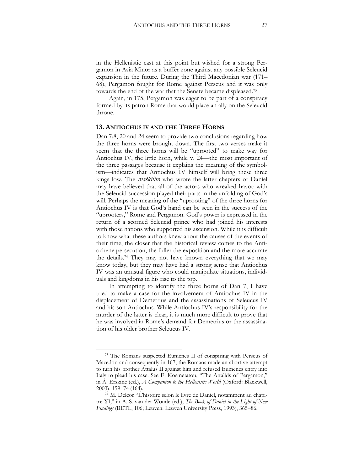in the Hellenistic east at this point but wished for a strong Pergamon in Asia Minor as a buffer zone against any possible Seleucid expansion in the future. During the Third Macedonian war (171– 68), Pergamon fought for Rome against Perseus and it was only towards the end of the war that the Senate became displeased.<sup>73</sup>

Again, in 175, Pergamon was eager to be part of a conspiracy formed by its patron Rome that would place an ally on the Seleucid throne.

#### **13. ANTIOCHUS IV AND THE THREE HORNS**

Dan 7:8, 20 and 24 seem to provide two conclusions regarding how the three horns were brought down. The first two verses make it seem that the three horns will be "uprooted" to make way for Antiochus IV, the little horn, while v. 24*—*the most important of the three passages because it explains the meaning of the symbolism*—*indicates that Antiochus IV himself will bring these three kings low. The *maśkîlîm* who wrote the latter chapters of Daniel may have believed that all of the actors who wreaked havoc with the Seleucid succession played their parts in the unfolding of God's will. Perhaps the meaning of the "uprooting" of the three horns for Antiochus IV is that God's hand can be seen in the success of the "uprooters," Rome and Pergamon. God's power is expressed in the return of a scorned Seleucid prince who had joined his interests with those nations who supported his ascension. While it is difficult to know what these authors knew about the causes of the events of their time, the closer that the historical review comes to the Antiochene persecution, the fuller the exposition and the more accurate the details.<sup>74</sup> They may not have known everything that we may know today, but they may have had a strong sense that Antiochus IV was an unusual figure who could manipulate situations, individuals and kingdoms in his rise to the top.

In attempting to identify the three horns of Dan 7, I have tried to make a case for the involvement of Antiochus IV in the displacement of Demetrius and the assassinations of Seleucus IV and his son Antiochus. While Antiochus IV's responsibility for the murder of the latter is clear, it is much more difficult to prove that he was involved in Rome's demand for Demetrius or the assassination of his older brother Seleucus IV.

<sup>73</sup> The Romans suspected Eumenes II of conspiring with [Perseus of](http://en.wikipedia.org/wiki/Perseus_of_Macedon)  [Macedon](http://en.wikipedia.org/wiki/Perseus_of_Macedon) and consequently in 167, the Romans made an abortive attempt to turn his brother [Attalus II](http://en.wikipedia.org/wiki/Attalus_II) against him and refused Eumenes entry into Italy to plead his case. See E. Kosmetatou, "The Attalids of Pergamon," in A. Erskine (ed.), *A Companion to the Hellenistic World* (Oxford: Blackwell, 2003), 159–74 (164).

<sup>74</sup> M. Delcor "L'histoire selon le livre de Daniel, notamment au chapitre XI," in A. S. van der Woude (ed.), *The Book of Daniel in the Light of New Findings* (BETL, 106; Leuven: Leuven University Press, 1993), 365–86.